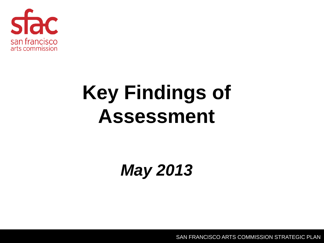

#### **Key Findings of Assessment**

*May 2013*

SAN FRANCISCO ARTS COMMISSION STRATEGIC PLAN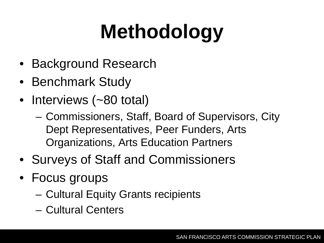# **Methodology**

- Background Research
- Benchmark Study
- Interviews (~80 total)
	- Commissioners, Staff, Board of Supervisors, City Dept Representatives, Peer Funders, Arts Organizations, Arts Education Partners
- Surveys of Staff and Commissioners
- Focus groups
	- Cultural Equity Grants recipients
	- Cultural Centers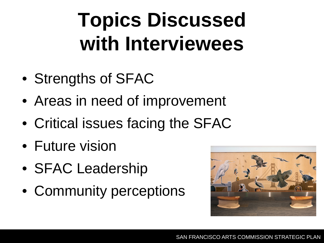#### **Topics Discussed with Interviewees**

- Strengths of SFAC
- Areas in need of improvement
- Critical issues facing the SFAC
- Future vision
- SFAC Leadership
- Community perceptions

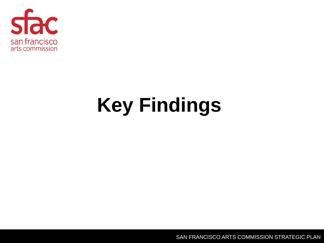

## **Key Findings**

SAN FRANCISCO ARTS COMMISSION STRATEGIC PLAN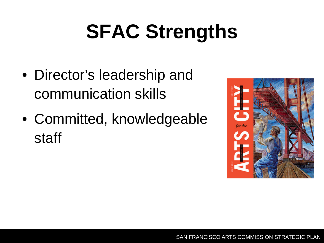## **SFAC Strengths**

- Director's leadership and communication skills
- Committed, knowledgeable staff

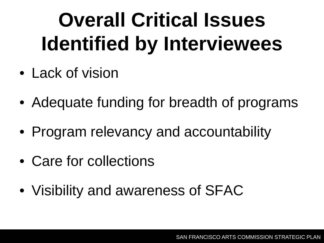## **Overall Critical Issues Identified by Interviewees**

- Lack of vision
- Adequate funding for breadth of programs
- Program relevancy and accountability
- Care for collections
- Visibility and awareness of SFAC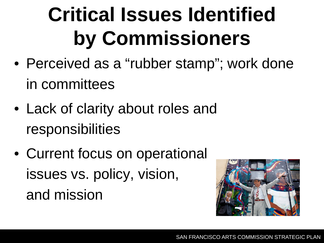## **Critical Issues Identified by Commissioners**

- Perceived as a "rubber stamp"; work done in committees
- Lack of clarity about roles and responsibilities
- Current focus on operational issues vs. policy, vision, and mission

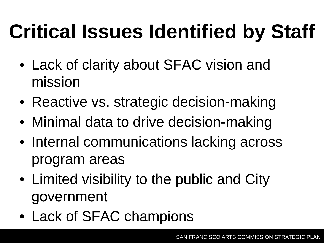# **Critical Issues Identified by Staff**

- Lack of clarity about SFAC vision and mission
- Reactive vs. strategic decision-making
- Minimal data to drive decision-making
- Internal communications lacking across program areas
- Limited visibility to the public and City government
- Lack of SFAC champions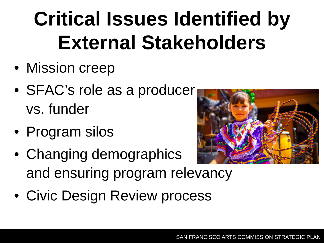## **Critical Issues Identified by External Stakeholders**

- Mission creep
- SFAC's role as a producer vs. funder
- Program silos
- Changing demographics and ensuring program relevancy
- Civic Design Review process



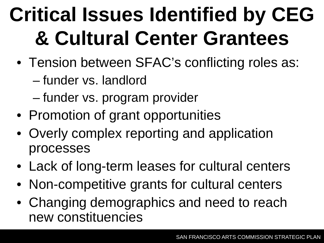## **Critical Issues Identified by CEG & Cultural Center Grantees**

- Tension between SFAC's conflicting roles as:
	- funder vs. landlord
	- funder vs. program provider
- Promotion of grant opportunities
- Overly complex reporting and application processes
- Lack of long-term leases for cultural centers
- Non-competitive grants for cultural centers
- Changing demographics and need to reach new constituencies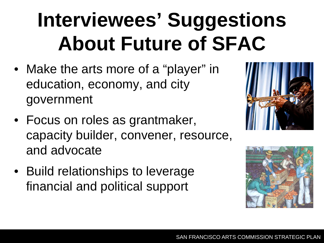## **Interviewees' Suggestions About Future of SFAC**

- Make the arts more of a "player" in education, economy, and city government
- Focus on roles as grantmaker, capacity builder, convener, resource, and advocate
- Build relationships to leverage financial and political support



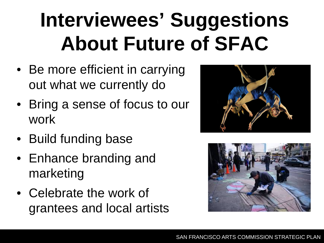## **Interviewees' Suggestions About Future of SFAC**

- Be more efficient in carrying out what we currently do
- Bring a sense of focus to our work
- Build funding base
- Enhance branding and marketing
- Celebrate the work of grantees and local artists



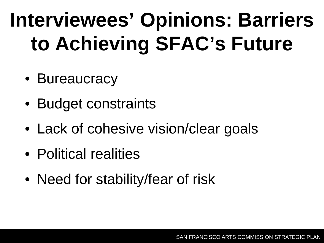## **Interviewees' Opinions: Barriers to Achieving SFAC's Future**

- Bureaucracy
- Budget constraints
- Lack of cohesive vision/clear goals
- Political realities
- Need for stability/fear of risk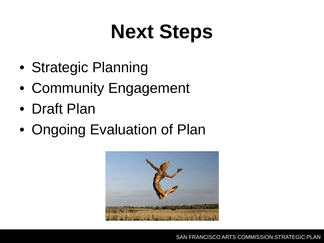#### **Next Steps**

- Strategic Planning
- Community Engagement
- Draft Plan
- Ongoing Evaluation of Plan

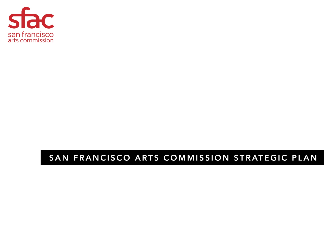

#### SAN FRANCISCO ARTS COMMISSION STRATEGIC PLAN